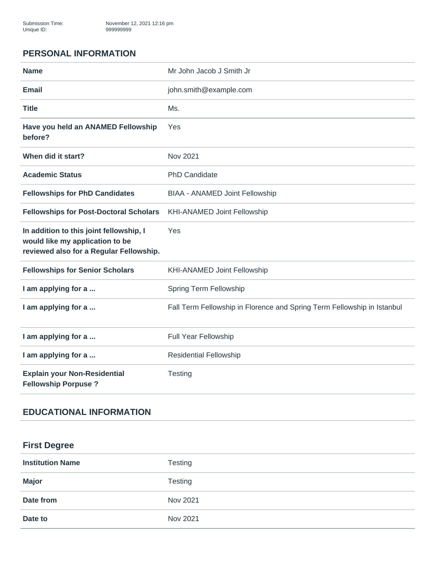### **PERSONAL INFORMATION**

| <b>Name</b>                                                                                                           | Mr John Jacob J Smith Jr                                                |
|-----------------------------------------------------------------------------------------------------------------------|-------------------------------------------------------------------------|
| <b>Email</b>                                                                                                          | john.smith@example.com                                                  |
| <b>Title</b>                                                                                                          | Ms.                                                                     |
| Have you held an ANAMED Fellowship<br>before?                                                                         | Yes                                                                     |
| When did it start?                                                                                                    | Nov 2021                                                                |
| <b>Academic Status</b>                                                                                                | PhD Candidate                                                           |
| <b>Fellowships for PhD Candidates</b>                                                                                 | <b>BIAA - ANAMED Joint Fellowship</b>                                   |
| <b>Fellowships for Post-Doctoral Scholars</b>                                                                         | <b>KHI-ANAMED Joint Fellowship</b>                                      |
| In addition to this joint fellowship, I<br>would like my application to be<br>reviewed also for a Regular Fellowship. | Yes                                                                     |
| <b>Fellowships for Senior Scholars</b>                                                                                | <b>KHI-ANAMED Joint Fellowship</b>                                      |
| I am applying for a                                                                                                   | Spring Term Fellowship                                                  |
| I am applying for a                                                                                                   | Fall Term Fellowship in Florence and Spring Term Fellowship in Istanbul |
| I am applying for a                                                                                                   | <b>Full Year Fellowship</b>                                             |
| I am applying for a                                                                                                   | <b>Residential Fellowship</b>                                           |
| <b>Explain your Non-Residential</b><br><b>Fellowship Porpuse?</b>                                                     | Testing                                                                 |

# **EDUCATIONAL INFORMATION**

# **First Degree**

| <b>Institution Name</b> | <b>Testing</b> |
|-------------------------|----------------|
| <b>Major</b>            | <b>Testing</b> |
| Date from               | Nov 2021       |
| Date to                 | Nov 2021       |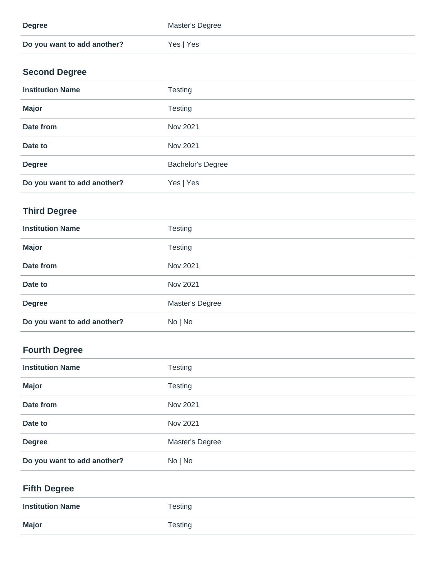| <b>Degree</b>               | Master's Degree |
|-----------------------------|-----------------|
| Do you want to add another? | Yes   Yes       |

# **Second Degree**

| <b>Institution Name</b>     | <b>Testing</b>           |
|-----------------------------|--------------------------|
| <b>Major</b>                | <b>Testing</b>           |
| Date from                   | Nov 2021                 |
| Date to                     | Nov 2021                 |
| <b>Degree</b>               | <b>Bachelor's Degree</b> |
| Do you want to add another? | Yes   Yes                |

# **Third Degree**

| <b>Institution Name</b>     | <b>Testing</b>  |
|-----------------------------|-----------------|
| <b>Major</b>                | <b>Testing</b>  |
| Date from                   | Nov 2021        |
| Date to                     | Nov 2021        |
| <b>Degree</b>               | Master's Degree |
| Do you want to add another? | No   No         |

# **Fourth Degree**

| <b>Institution Name</b>     | <b>Testing</b>  |
|-----------------------------|-----------------|
| <b>Major</b>                | <b>Testing</b>  |
| Date from                   | Nov 2021        |
| Date to                     | Nov 2021        |
| <b>Degree</b>               | Master's Degree |
| Do you want to add another? | No   No         |

# **Fifth Degree**

| <b>Institution Name</b> | Testing |
|-------------------------|---------|
| <b>Major</b>            | Testing |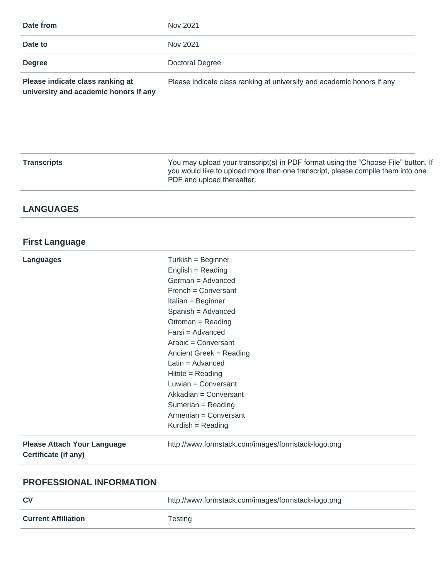| Date from                        | Nov 2021                                                               |
|----------------------------------|------------------------------------------------------------------------|
| Date to                          | Nov 2021                                                               |
| <b>Degree</b>                    | Doctoral Degree                                                        |
| Please indicate class ranking at | Please indicate class ranking at university and academic honors if any |

**university and academic honors if any**

**Transcripts** You may upload your transcript(s) in PDF format using the "Choose File" button. If you would like to upload more than one transcript, please compile them into one [PDF and upload thereafter.](http://www.formstack.com/images/formstack-logo.png)

#### **LANGUAGES**

#### **First Language**

| <b>Languages</b>                                           | Turkish = Beginner                                 |
|------------------------------------------------------------|----------------------------------------------------|
|                                                            | $English = Reading$                                |
|                                                            |                                                    |
|                                                            | German = Advanced                                  |
|                                                            | French = Conversant                                |
|                                                            | Italian = Beginner                                 |
|                                                            | Spanish = Advanced                                 |
|                                                            | Ottoman = Reading                                  |
|                                                            | Farsi = Advanced                                   |
|                                                            | Arabic = Conversant                                |
|                                                            | Ancient Greek = Reading                            |
|                                                            | Latin = $Advanced$                                 |
|                                                            | Hittite = Reading                                  |
|                                                            | Luwian = Conversant                                |
|                                                            | Akkadian = Conversant                              |
|                                                            | Sumerian = Reading                                 |
|                                                            | Armenian = Conversant                              |
|                                                            | Kurdish = Reading                                  |
| <b>Please Attach Your Language</b><br>Certificate (if any) | http://www.formstack.com/images/formstack-logo.png |
|                                                            |                                                    |

#### **PROFESSIONAL INFORMATION**

| <b>CV</b>                  | http://www.formstack.com/images/formstack-logo.png |
|----------------------------|----------------------------------------------------|
| <b>Current Affiliation</b> | Testing                                            |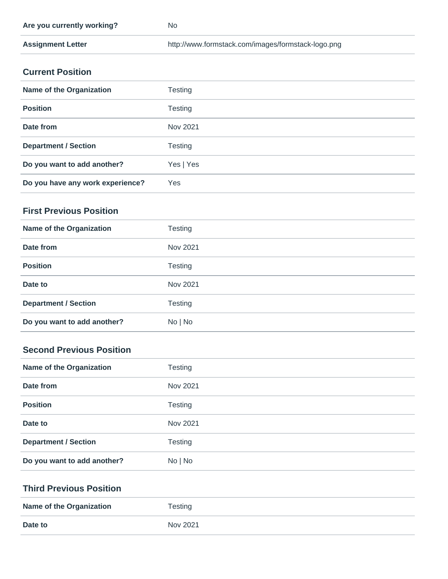| Are you currently working? | No                                                 |
|----------------------------|----------------------------------------------------|
| <b>Assignment Letter</b>   | http://www.formstack.com/images/formstack-logo.png |

### **Current Position**

| <b>Name of the Organization</b>  | Testing   |
|----------------------------------|-----------|
| <b>Position</b>                  | Testing   |
| Date from                        | Nov 2021  |
| <b>Department / Section</b>      | Testing   |
| Do you want to add another?      | Yes   Yes |
| Do you have any work experience? | Yes       |

### **First Previous Position**

| <b>Name of the Organization</b> | Testing        |
|---------------------------------|----------------|
| Date from                       | Nov 2021       |
| <b>Position</b>                 | <b>Testing</b> |
| Date to                         | Nov 2021       |
| <b>Department / Section</b>     | Testing        |
| Do you want to add another?     | No   No        |

# **Second Previous Position**

| <b>Name of the Organization</b> | <b>Testing</b> |
|---------------------------------|----------------|
| Date from                       | Nov 2021       |
| <b>Position</b>                 | <b>Testing</b> |
| Date to                         | Nov 2021       |
| <b>Department / Section</b>     | Testing        |
| Do you want to add another?     | No   No        |

#### **Third Previous Position**

| <b>Name of the Organization</b> | Testing  |
|---------------------------------|----------|
| Date to                         | Nov 2021 |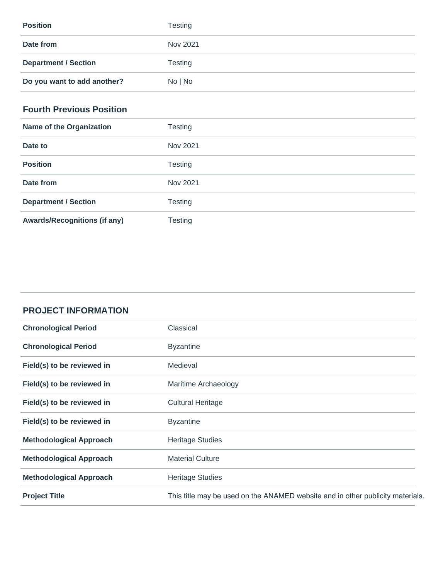| <b>Position</b>             | <b>Testing</b> |
|-----------------------------|----------------|
| Date from                   | Nov 2021       |
| <b>Department / Section</b> | Testing        |
| Do you want to add another? | No   No        |

### **Fourth Previous Position**

| <b>Name of the Organization</b>     | <b>Testing</b> |
|-------------------------------------|----------------|
| Date to                             | Nov 2021       |
| <b>Position</b>                     | <b>Testing</b> |
| Date from                           | Nov 2021       |
| <b>Department / Section</b>         | <b>Testing</b> |
| <b>Awards/Recognitions (if any)</b> | Testing        |

| <b>PROJECT INFORMATION</b> |
|----------------------------|
|----------------------------|

| <b>Chronological Period</b>    | Classical                                                                      |
|--------------------------------|--------------------------------------------------------------------------------|
| <b>Chronological Period</b>    | <b>Byzantine</b>                                                               |
| Field(s) to be reviewed in     | Medieval                                                                       |
| Field(s) to be reviewed in     | Maritime Archaeology                                                           |
| Field(s) to be reviewed in     | <b>Cultural Heritage</b>                                                       |
| Field(s) to be reviewed in     | <b>Byzantine</b>                                                               |
| <b>Methodological Approach</b> | <b>Heritage Studies</b>                                                        |
| <b>Methodological Approach</b> | <b>Material Culture</b>                                                        |
| <b>Methodological Approach</b> | <b>Heritage Studies</b>                                                        |
| <b>Project Title</b>           | This title may be used on the ANAMED website and in other publicity materials. |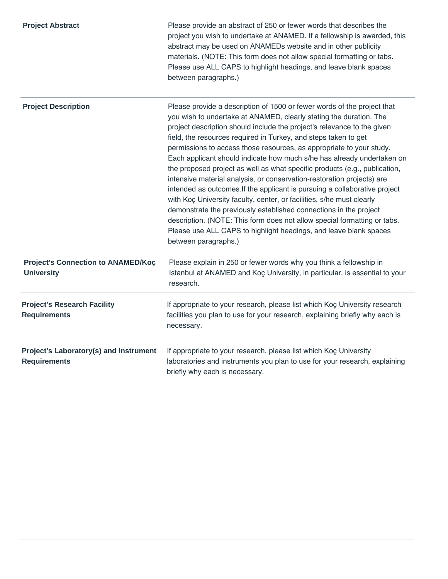| <b>Project Abstract</b>                                        | Please provide an abstract of 250 or fewer words that describes the<br>project you wish to undertake at ANAMED. If a fellowship is awarded, this<br>abstract may be used on ANAMEDs website and in other publicity<br>materials. (NOTE: This form does not allow special formatting or tabs.<br>Please use ALL CAPS to highlight headings, and leave blank spaces<br>between paragraphs.)                                                                                                                                                                                                                                                                                                                                                                                                                                                                                                                                                                                                                  |
|----------------------------------------------------------------|------------------------------------------------------------------------------------------------------------------------------------------------------------------------------------------------------------------------------------------------------------------------------------------------------------------------------------------------------------------------------------------------------------------------------------------------------------------------------------------------------------------------------------------------------------------------------------------------------------------------------------------------------------------------------------------------------------------------------------------------------------------------------------------------------------------------------------------------------------------------------------------------------------------------------------------------------------------------------------------------------------|
| <b>Project Description</b>                                     | Please provide a description of 1500 or fewer words of the project that<br>you wish to undertake at ANAMED, clearly stating the duration. The<br>project description should include the project's relevance to the given<br>field, the resources required in Turkey, and steps taken to get<br>permissions to access those resources, as appropriate to your study.<br>Each applicant should indicate how much s/he has already undertaken on<br>the proposed project as well as what specific products (e.g., publication,<br>intensive material analysis, or conservation-restoration projects) are<br>intended as outcomes. If the applicant is pursuing a collaborative project<br>with Koç University faculty, center, or facilities, s/he must clearly<br>demonstrate the previously established connections in the project<br>description. (NOTE: This form does not allow special formatting or tabs.<br>Please use ALL CAPS to highlight headings, and leave blank spaces<br>between paragraphs.) |
| <b>Project's Connection to ANAMED/Koç</b><br><b>University</b> | Please explain in 250 or fewer words why you think a fellowship in<br>Istanbul at ANAMED and Koç University, in particular, is essential to your<br>research.                                                                                                                                                                                                                                                                                                                                                                                                                                                                                                                                                                                                                                                                                                                                                                                                                                              |
| <b>Project's Research Facility</b><br><b>Requirements</b>      | If appropriate to your research, please list which Koç University research<br>facilities you plan to use for your research, explaining briefly why each is<br>necessary.                                                                                                                                                                                                                                                                                                                                                                                                                                                                                                                                                                                                                                                                                                                                                                                                                                   |
| Project's Laboratory(s) and Instrument<br><b>Requirements</b>  | If appropriate to your research, please list which Koç University<br>laboratories and instruments you plan to use for your research, explaining<br>briefly why each is necessary.                                                                                                                                                                                                                                                                                                                                                                                                                                                                                                                                                                                                                                                                                                                                                                                                                          |